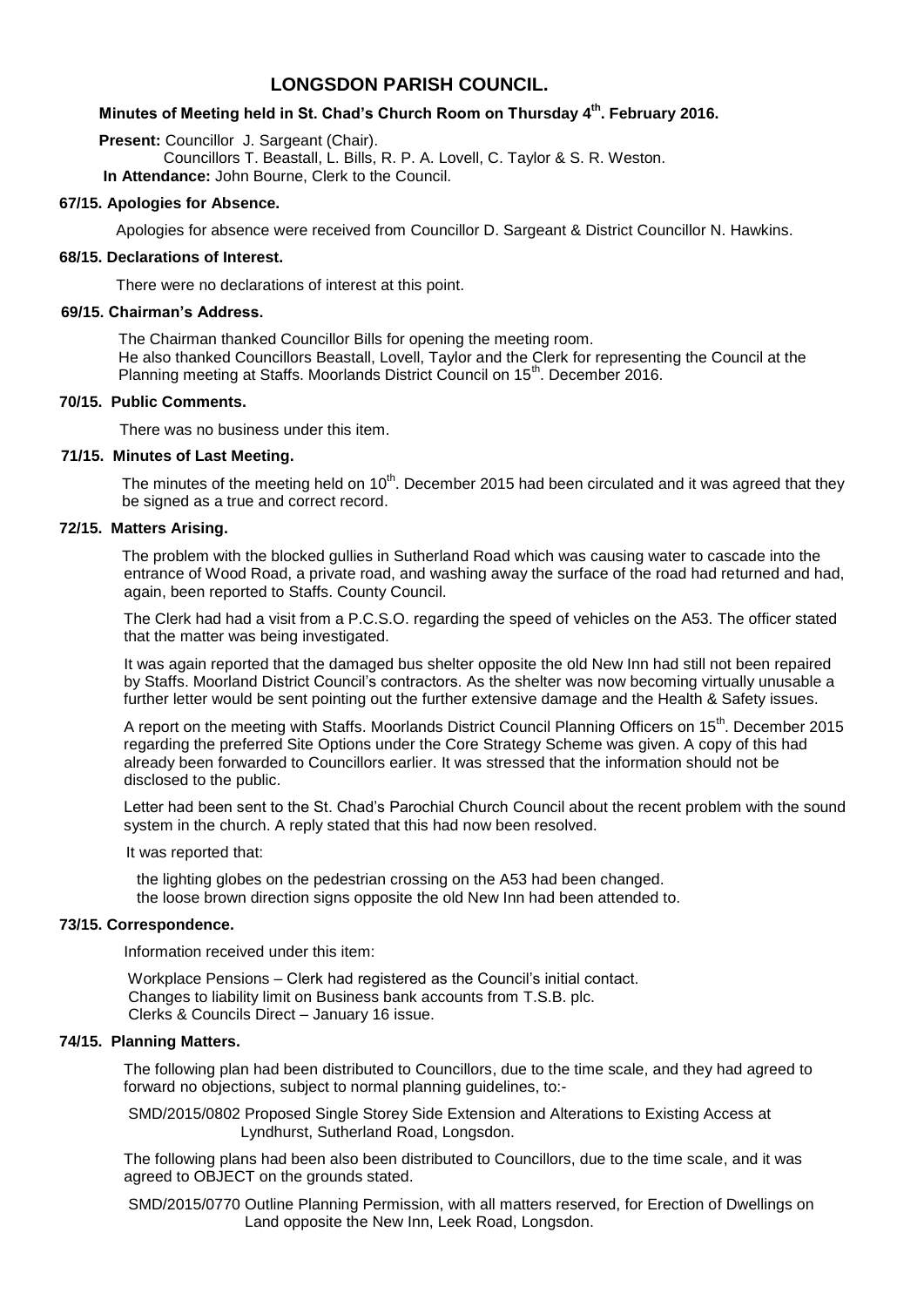# **LONGSDON PARISH COUNCIL.**

# **Minutes of Meeting held in St. Chad's Church Room on Thursday 4 th . February 2016.**

**Present: Councillor J. Sargeant (Chair).**  Councillors T. Beastall, L. Bills, R. P. A. Lovell, C. Taylor & S. R. Weston. **In Attendance:** John Bourne, Clerk to the Council.

### **67/15. Apologies for Absence.**

Apologies for absence were received from Councillor D. Sargeant & District Councillor N. Hawkins.

#### **68/15. Declarations of Interest.**

There were no declarations of interest at this point.

#### **69/15. Chairman's Address.**

 The Chairman thanked Councillor Bills for opening the meeting room. He also thanked Councillors Beastall, Lovell, Taylor and the Clerk for representing the Council at the Planning meeting at Staffs. Moorlands District Council on 15<sup>th</sup>. December 2016.

## **70/15. Public Comments.**

There was no business under this item.

### **71/15. Minutes of Last Meeting.**

The minutes of the meeting held on 10<sup>th</sup>. December 2015 had been circulated and it was agreed that they be signed as a true and correct record.

### **72/15. Matters Arising.**

 The problem with the blocked gullies in Sutherland Road which was causing water to cascade into the entrance of Wood Road, a private road, and washing away the surface of the road had returned and had, again, been reported to Staffs. County Council.

 The Clerk had had a visit from a P.C.S.O. regarding the speed of vehicles on the A53. The officer stated that the matter was being investigated.

 It was again reported that the damaged bus shelter opposite the old New Inn had still not been repaired by Staffs. Moorland District Council's contractors. As the shelter was now becoming virtually unusable a further letter would be sent pointing out the further extensive damage and the Health & Safety issues.

A report on the meeting with Staffs. Moorlands District Council Planning Officers on 15<sup>th</sup>. December 2015 regarding the preferred Site Options under the Core Strategy Scheme was given. A copy of this had already been forwarded to Councillors earlier. It was stressed that the information should not be disclosed to the public.

 Letter had been sent to the St. Chad's Parochial Church Council about the recent problem with the sound system in the church. A reply stated that this had now been resolved.

It was reported that:

 the lighting globes on the pedestrian crossing on the A53 had been changed. the loose brown direction signs opposite the old New Inn had been attended to.

## **73/15. Correspondence.**

Information received under this item:

 Workplace Pensions – Clerk had registered as the Council's initial contact. Changes to liability limit on Business bank accounts from T.S.B. plc. Clerks & Councils Direct – January 16 issue.

# **74/15. Planning Matters.**

 The following plan had been distributed to Councillors, due to the time scale, and they had agreed to forward no objections, subject to normal planning guidelines, to:-

 SMD/2015/0802 Proposed Single Storey Side Extension and Alterations to Existing Access at Lyndhurst, Sutherland Road, Longsdon.

 The following plans had been also been distributed to Councillors, due to the time scale, and it was agreed to OBJECT on the grounds stated.

 SMD/2015/0770 Outline Planning Permission, with all matters reserved, for Erection of Dwellings on Land opposite the New Inn, Leek Road, Longsdon.